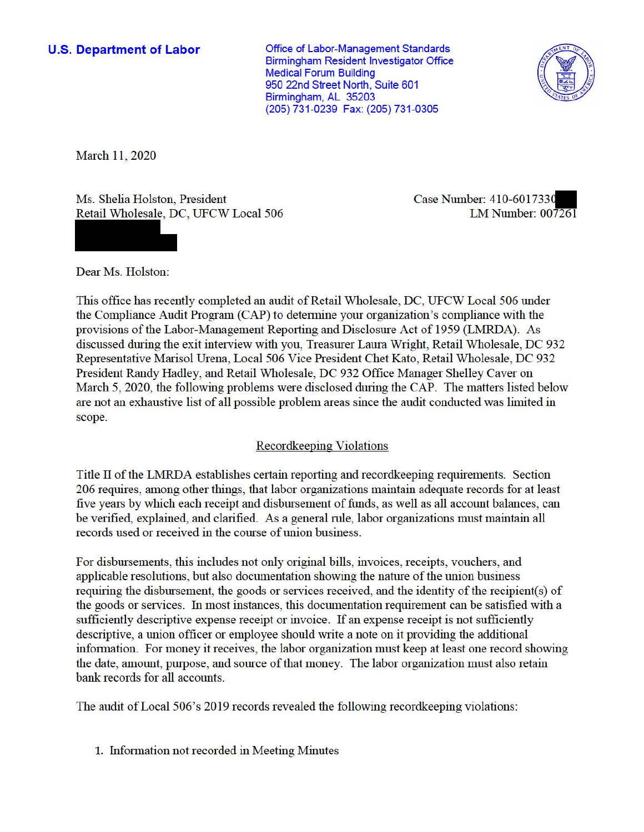## **U.S. Department of Labor**

Office of Labor-Management Standards Birmingham Resident Investigator Office Medical Forum Building 950 22nd Street North, Suite 601 Birmingham, AL 35203 (205) 731-0239 Fax: (205) 731-0305



March 11, 2020

Ms. Shelia Holston, President Case Number: 410-6017330 Retail Wholesale, DC, UFCW Local 506 LM Number: 007261

Dear Ms. Holston:

This office has recently completed an audit of Retail Wholesale, DC, UFCW Local 506 under the Compliance Audit Program (CAP) to detennine your organization 's compliance with the provisions of the Labor-Management Reporting and Disclosure Act of 1959 (LMRDA). As discussed during the exit interview with you, Treasurer Laura Wright, Retail Wholesale, DC 932 Representative Marisol Urena, Local 506 Vice President Chet Kato, Retail Wholesale, DC 932 President Randy Hadley, and Retail Wholesale, DC 932 Office Manager Shelley Caver on March 5, 2020, the following problems were disclosed during the CAP. The matters listed below are not an exhaustive list of all possible problem areas since the audit conducted was limited in scope.

# Recordkeeping Violations

Title II of the LMRDA establishes certain reporting and recordkeeping requirements. Section 206 requires, among other things, that labor organizations maintain adequate records for at least five years by which each receipt and disbursement of funds, as well as all account balances, can be verified, explained, and clarified. As a general rule, labor organizations must maintain all records used or received in the course of union business.

For disbursements, this includes not only original bills, invoices, receipts, vouchers, and applicable resolutions, but also documentation showing the nature of the union business requiring the disbursement, the goods or services received, and the identity of the recipient(s) of the goods or services. fu most instances, this documentation requirement can be satisfied with a sufficiently descriptive expense receipt or invoice. If an expense receipt is not sufficiently descriptive, a union officer or employee should write a note on it providing the additional infonnation. For money it receives, the labor organization must keep at least one record showing the date, amount, purpose, and source of that money. The labor organization must also retain bank records for all accounts.

The audit of Local 506's 2019 records revealed the following recordkeeping violations:

1. Information not recorded in Meeting Minutes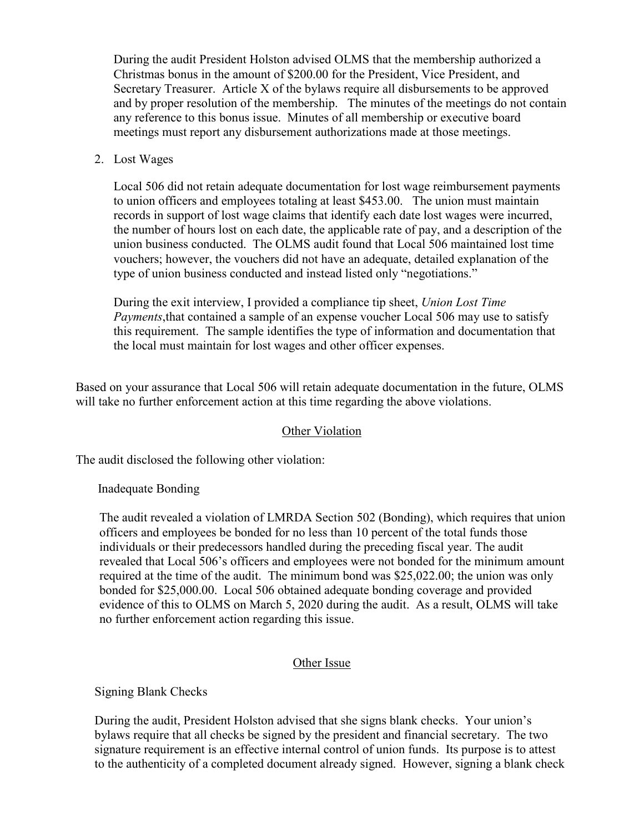meetings must report any disbursement authorizations made at those meetings.<br>2. Lost Wages During the audit President Holston advised OLMS that the membership authorized a Christmas bonus in the amount of \$200.00 for the President, Vice President, and Secretary Treasurer. Article X of the bylaws require all disbursements to be approved and by proper resolution of the membership. The minutes of the meetings do not contain any reference to this bonus issue. Minutes of all membership or executive board

 vouchers; however, the vouchers did not have an adequate, detailed explanation of the type of union business conducted and instead listed only "negotiations." Local 506 did not retain adequate documentation for lost wage reimbursement payments to union officers and employees totaling at least \$453.00. The union must maintain records in support of lost wage claims that identify each date lost wages were incurred, the number of hours lost on each date, the applicable rate of pay, and a description of the union business conducted. The OLMS audit found that Local 506 maintained lost time

 the local must maintain for lost wages and other officer expenses. During the exit interview, I provided a compliance tip sheet, *Union Lost Time Payments*,that contained a sample of an expense voucher Local 506 may use to satisfy this requirement. The sample identifies the type of information and documentation that

Based on your assurance that Local 506 will retain adequate documentation in the future, OLMS will take no further enforcement action at this time regarding the above violations.

### Other Violation

The audit disclosed the following other violation:

### Inadequate Bonding

 bonded for \$[25,000.00.](https://25,000.00) Local 506 obtained adequate bonding coverage and provided The audit revealed a violation of LMRDA Section 502 (Bonding), which requires that union officers and employees be bonded for no less than 10 percent of the total funds those individuals or their predecessors handled during the preceding fiscal year. The audit revealed that Local 506's officers and employees were not bonded for the minimum amount required at the time of the audit. The minimum bond was \$[25,022.00;](https://25,022.00) the union was only evidence of this to OLMS on March 5, 2020 during the audit. As a result, OLMS will take no further enforcement action regarding this issue.

### Other Issue

Signing Blank Checks

 During the audit, President Holston advised that she signs blank checks. Your union's bylaws require that all checks be signed by the president and financial secretary. The two signature requirement is an effective internal control of union funds. Its purpose is to attest to the authenticity of a completed document already signed. However, signing a blank check